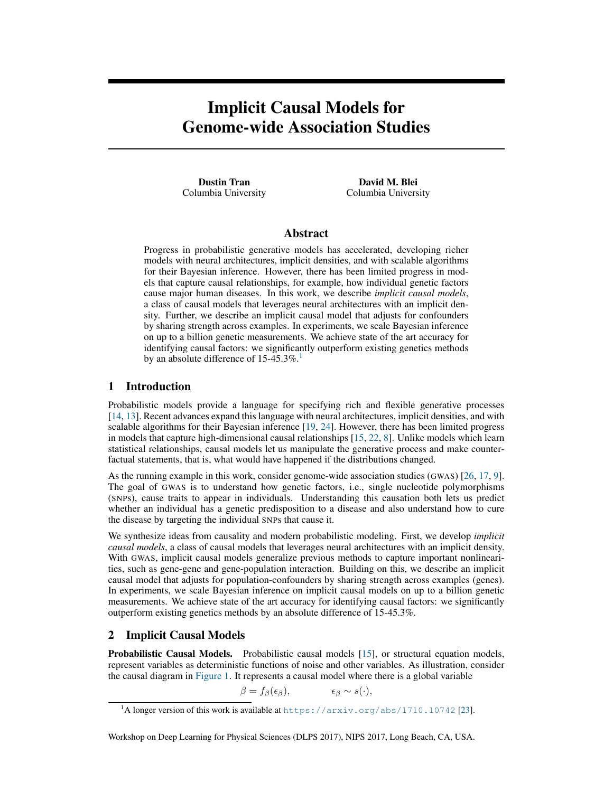# Implicit Causal Models for Genome-wide Association Studies

Dustin Tran Columbia University

David M. Blei Columbia University

# Abstract

Progress in probabilistic generative models has accelerated, developing richer models with neural architectures, implicit densities, and with scalable algorithms for their Bayesian inference. However, there has been limited progress in models that capture causal relationships, for example, how individual genetic factors cause major human diseases. In this work, we describe *implicit causal models*, a class of causal models that leverages neural architectures with an implicit density. Further, we describe an implicit causal model that adjusts for confounders by sharing strength across examples. In experiments, we scale Bayesian inference on up to a billion genetic measurements. We achieve state of the art accuracy for identifying causal factors: we significantly outperform existing genetics methods by an absolute difference of  $15-45.3\%$  $15-45.3\%$ .<sup>1</sup>

### 1 Introduction

Probabilistic models provide a language for specifying rich and flexible generative processes [\[14,](#page-4-0) [13\]](#page-4-1). Recent advances expand this language with neural architectures, implicit densities, and with scalable algorithms for their Bayesian inference [\[19,](#page-4-2) [24\]](#page-5-0). However, there has been limited progress in models that capture high-dimensional causal relationships [\[15,](#page-4-3) [22,](#page-5-1) [8\]](#page-4-4). Unlike models which learn statistical relationships, causal models let us manipulate the generative process and make counterfactual statements, that is, what would have happened if the distributions changed.

As the running example in this work, consider genome-wide association studies (GWAS) [\[26,](#page-5-2) [17,](#page-4-5) [9\]](#page-4-6). The goal of GWAS is to understand how genetic factors, i.e., single nucleotide polymorphisms (SNPs), cause traits to appear in individuals. Understanding this causation both lets us predict whether an individual has a genetic predisposition to a disease and also understand how to cure the disease by targeting the individual SNPs that cause it.

We synthesize ideas from causality and modern probabilistic modeling. First, we develop *implicit causal models*, a class of causal models that leverages neural architectures with an implicit density. With GWAS, implicit causal models generalize previous methods to capture important nonlinearities, such as gene-gene and gene-population interaction. Building on this, we describe an implicit causal model that adjusts for population-confounders by sharing strength across examples (genes). In experiments, we scale Bayesian inference on implicit causal models on up to a billion genetic measurements. We achieve state of the art accuracy for identifying causal factors: we significantly outperform existing genetics methods by an absolute difference of 15-45.3%.

## <span id="page-0-1"></span>2 Implicit Causal Models

Probabilistic Causal Models. Probabilistic causal models [\[15\]](#page-4-3), or structural equation models, represent variables as deterministic functions of noise and other variables. As illustration, consider the causal diagram in [Figure 1.](#page-1-0) It represents a causal model where there is a global variable

 $\beta = f_{\beta}(\epsilon_{\beta}), \qquad \epsilon_{\beta} \sim s(\cdot),$ 

Workshop on Deep Learning for Physical Sciences (DLPS 2017), NIPS 2017, Long Beach, CA, USA.

<span id="page-0-0"></span><sup>&</sup>lt;sup>1</sup>A longer version of this work is available at <https://arxiv.org/abs/1710.10742> [\[23\]](#page-5-3).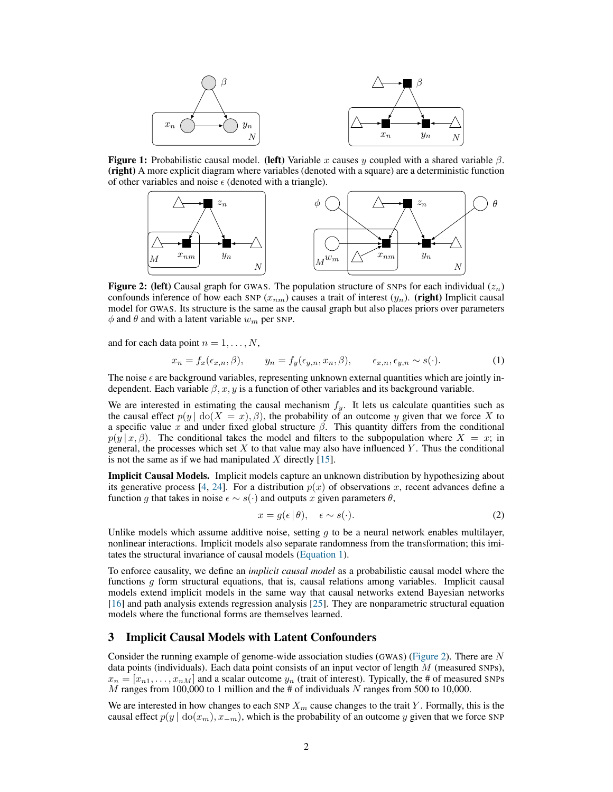<span id="page-1-0"></span>

**Figure 1:** Probabilistic causal model. (left) Variable x causes y coupled with a shared variable  $\beta$ . (right) A more explicit diagram where variables (denoted with a square) are a deterministic function of other variables and noise  $\epsilon$  (denoted with a triangle).

<span id="page-1-2"></span>

**Figure 2:** (left) Causal graph for GWAS. The population structure of SNPs for each individual  $(z_n)$ confounds inference of how each SNP ( $x_{nm}$ ) causes a trait of interest ( $y_n$ ). (right) Implicit causal model for GWAS. Its structure is the same as the causal graph but also places priors over parameters  $\phi$  and  $\theta$  and with a latent variable  $w_m$  per SNP.

and for each data point  $n = 1, \ldots, N$ ,

$$
x_n = f_x(\epsilon_{x,n}, \beta), \qquad y_n = f_y(\epsilon_{y,n}, x_n, \beta), \qquad \epsilon_{x,n}, \epsilon_{y,n} \sim s(\cdot). \tag{1}
$$

The noise  $\epsilon$  are background variables, representing unknown external quantities which are jointly independent. Each variable  $\beta$ , x, y is a function of other variables and its background variable.

We are interested in estimating the causal mechanism  $f_y$ . It lets us calculate quantities such as the causal effect  $p(y | d\omega(X = x), \beta)$ , the probability of an outcome y given that we force X to a specific value x and under fixed global structure  $β$ . This quantity differs from the conditional  $p(y | x, \beta)$ . The conditional takes the model and filters to the subpopulation where  $X = x$ ; in general, the processes which set  $X$  to that value may also have influenced  $Y$ . Thus the conditional is not the same as if we had manipulated  $X$  directly [\[15\]](#page-4-3).

Implicit Causal Models. Implicit models capture an unknown distribution by hypothesizing about its generative process [\[4,](#page-4-7) [24\]](#page-5-0). For a distribution  $p(x)$  of observations x, recent advances define a function g that takes in noise  $\epsilon \sim s(\cdot)$  and outputs x given parameters  $\theta$ ,

<span id="page-1-3"></span><span id="page-1-1"></span>
$$
x = g(\epsilon \mid \theta), \quad \epsilon \sim s(\cdot). \tag{2}
$$

Unlike models which assume additive noise, setting  $q$  to be a neural network enables multilayer, nonlinear interactions. Implicit models also separate randomness from the transformation; this imitates the structural invariance of causal models [\(Equation 1\)](#page-1-1).

To enforce causality, we define an *implicit causal model* as a probabilistic causal model where the functions  $g$  form structural equations, that is, causal relations among variables. Implicit causal models extend implicit models in the same way that causal networks extend Bayesian networks [\[16\]](#page-4-8) and path analysis extends regression analysis [\[25\]](#page-5-4). They are nonparametric structural equation models where the functional forms are themselves learned.

## 3 Implicit Causal Models with Latent Confounders

Consider the running example of genome-wide association studies (GWAS) [\(Figure 2\)](#page-1-2). There are N data points (individuals). Each data point consists of an input vector of length  $M$  (measured SNPs),  $x_n = [x_{n1}, \dots, x_{nM}]$  and a scalar outcome  $y_n$  (trait of interest). Typically, the # of measured SNPs  $M$  ranges from 100,000 to 1 million and the # of individuals  $N$  ranges from 500 to 10,000.

We are interested in how changes to each SNP  $X_m$  cause changes to the trait Y. Formally, this is the causal effect  $p(y | \text{do}(x_m), x_{-m})$ , which is the probability of an outcome y given that we force SNP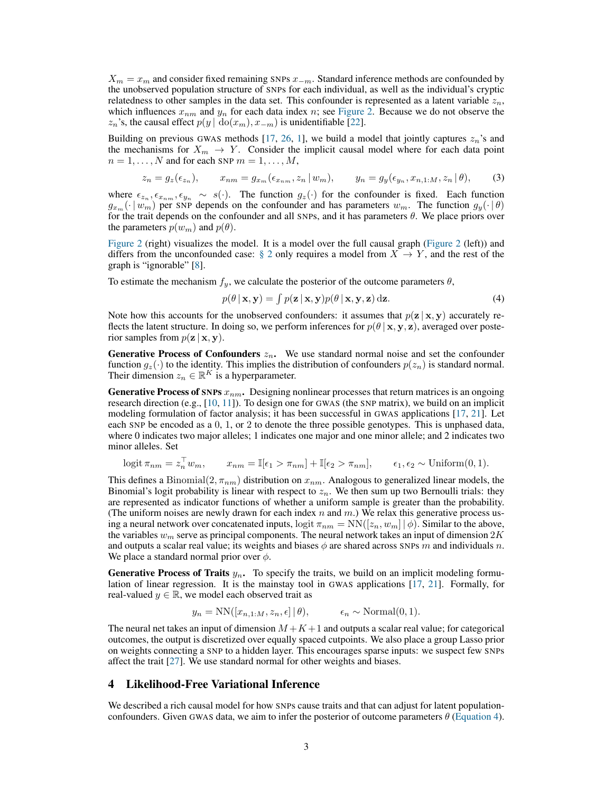$X_m = x_m$  and consider fixed remaining SNPs  $x_{-m}$ . Standard inference methods are confounded by the unobserved population structure of SNPs for each individual, as well as the individual's cryptic relatedness to other samples in the data set. This confounder is represented as a latent variable  $z_n$ , which influences  $x_{nm}$  and  $y_n$  for each data index n; see [Figure 2.](#page-1-2) Because we do not observe the  $z_n$ 's, the causal effect  $p(y \mid \text{do}(x_m), x_{-m})$  is unidentifiable [\[22\]](#page-5-1).

Building on previous GWAS methods [\[17,](#page-4-5) [26,](#page-5-2) [1\]](#page-4-9), we build a model that jointly captures  $z_n$ 's and the mechanisms for  $X_m \to Y$ . Consider the implicit causal model where for each data point  $n = 1, \ldots, N$  and for each SNP  $m = 1, \ldots, M$ ,

$$
z_n = g_z(\epsilon_{z_n}), \qquad x_{nm} = g_{x_m}(\epsilon_{x_{nm}}, z_n \, | \, w_m), \qquad y_n = g_y(\epsilon_{y_n}, x_{n,1:M}, z_n \, | \, \theta), \tag{3}
$$

where  $\epsilon_{z_n}, \epsilon_{x_{nm}}, \epsilon_{y_n} \sim s(\cdot)$ . The function  $g_z(\cdot)$  for the confounder is fixed. Each function  $g_{x_m}(\cdot | w_m)$  per SNP depends on the confounder and has parameters  $w_m$ . The function  $g_y(\cdot | \theta)$ for the trait depends on the confounder and all SNPs, and it has parameters  $\theta$ . We place priors over the parameters  $p(w_m)$  and  $p(\theta)$ .

[Figure 2](#page-1-2) (right) visualizes the model. It is a model over the full causal graph [\(Figure 2](#page-1-2) (left)) and differs from the unconfounded case: [§ 2](#page-0-1) only requires a model from  $X \to Y$ , and the rest of the graph is "ignorable" [\[8\]](#page-4-4).

To estimate the mechanism  $f_y$ , we calculate the posterior of the outcome parameters  $\theta$ ,

<span id="page-2-0"></span>
$$
p(\theta | \mathbf{x}, \mathbf{y}) = \int p(\mathbf{z} | \mathbf{x}, \mathbf{y}) p(\theta | \mathbf{x}, \mathbf{y}, \mathbf{z}) \, d\mathbf{z}.
$$
 (4)

Note how this accounts for the unobserved confounders: it assumes that  $p(z | x, y)$  accurately reflects the latent structure. In doing so, we perform inferences for  $p(\theta | x, y, z)$ , averaged over posterior samples from  $p(\mathbf{z} | \mathbf{x}, \mathbf{y})$ .

**Generative Process of Confounders**  $z_n$ . We use standard normal noise and set the confounder function  $g_z(\cdot)$  to the identity. This implies the distribution of confounders  $p(z_n)$  is standard normal. Their dimension  $z_n \in \mathbb{R}^K$  is a hyperparameter.

**Generative Process of SNPs**  $x_{nm}$ . Designing nonlinear processes that return matrices is an ongoing research direction (e.g.,  $[10, 11]$  $[10, 11]$  $[10, 11]$ ). To design one for GWAS (the SNP matrix), we build on an implicit modeling formulation of factor analysis; it has been successful in GWAS applications [\[17,](#page-4-5) [21\]](#page-5-5). Let each SNP be encoded as a 0, 1, or 2 to denote the three possible genotypes. This is unphased data, where 0 indicates two major alleles; 1 indicates one major and one minor allele; and 2 indicates two minor alleles. Set

$$
logit \pi_{nm} = z_n^{\top} w_m, \qquad x_{nm} = \mathbb{I}[\epsilon_1 > \pi_{nm}] + \mathbb{I}[\epsilon_2 > \pi_{nm}], \qquad \epsilon_1, \epsilon_2 \sim \text{Uniform}(0, 1).
$$

This defines a Binomial $(2, \pi_{nm})$  distribution on  $x_{nm}$ . Analogous to generalized linear models, the Binomial's logit probability is linear with respect to  $z_n$ . We then sum up two Bernoulli trials: they are represented as indicator functions of whether a uniform sample is greater than the probability. (The uniform noises are newly drawn for each index  $n$  and  $m$ .) We relax this generative process using a neural network over concatenated inputs,  $\log$ it  $\pi_{nm} = NN([z_n, w_m] | \phi)$ . Similar to the above, the variables  $w_m$  serve as principal components. The neural network takes an input of dimension  $2K$ and outputs a scalar real value; its weights and biases  $\phi$  are shared across SNPs m and individuals n. We place a standard normal prior over  $\phi$ .

**Generative Process of Traits**  $y_n$ . To specify the traits, we build on an implicit modeling formulation of linear regression. It is the mainstay tool in GWAS applications [\[17,](#page-4-5) [21\]](#page-5-5). Formally, for real-valued  $y \in \mathbb{R}$ , we model each observed trait as

$$
y_n = NN([x_{n,1:M}, z_n, \epsilon] | \theta), \qquad \epsilon_n \sim \text{Normal}(0, 1).
$$

The neural net takes an input of dimension  $M + K + 1$  and outputs a scalar real value; for categorical outcomes, the output is discretized over equally spaced cutpoints. We also place a group Lasso prior on weights connecting a SNP to a hidden layer. This encourages sparse inputs: we suspect few SNPs affect the trait [\[27\]](#page-5-6). We use standard normal for other weights and biases.

### 4 Likelihood-Free Variational Inference

We described a rich causal model for how SNPs cause traits and that can adjust for latent populationconfounders. Given GWAS data, we aim to infer the posterior of outcome parameters  $\theta$  [\(Equation 4\)](#page-2-0).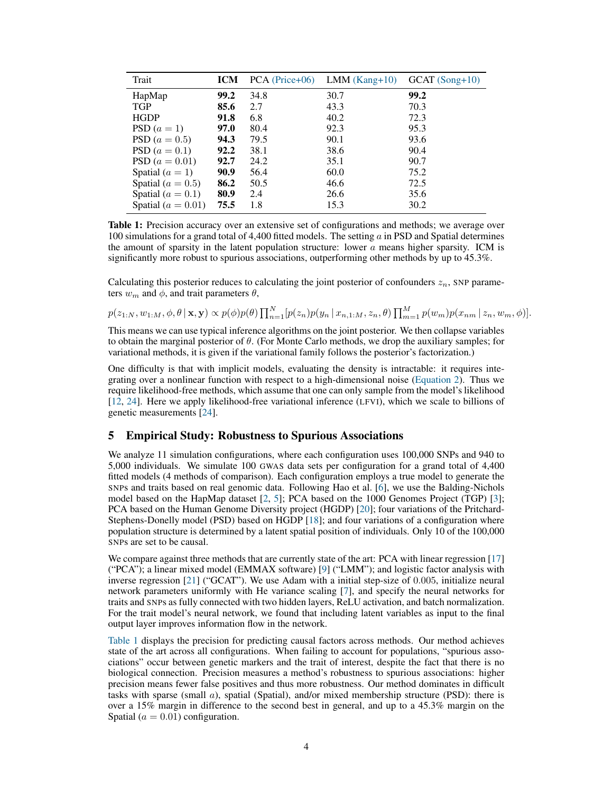<span id="page-3-0"></span>

| Trait                  | <b>ICM</b> | $PCA$ (Price+06) | $LMM(Kang+10)$ | $GCAT(Song+10)$ |
|------------------------|------------|------------------|----------------|-----------------|
| HapMap                 | 99.2       | 34.8             | 30.7           | 99.2            |
| <b>TGP</b>             | 85.6       | 2.7              | 43.3           | 70.3            |
| <b>HGDP</b>            | 91.8       | 6.8              | 40.2           | 72.3            |
| PSD $(a=1)$            | 97.0       | 80.4             | 92.3           | 95.3            |
| PSD $(a = 0.5)$        | 94.3       | 79.5             | 90.1           | 93.6            |
| PSD $(a = 0.1)$        | 92.2       | 38.1             | 38.6           | 90.4            |
| PSD $(a = 0.01)$       | 92.7       | 24.2             | 35.1           | 90.7            |
| Spatial $(a = 1)$      | 90.9       | 56.4             | 60.0           | 75.2            |
| Spatial ( $a = 0.5$ )  | 86.2       | 50.5             | 46.6           | 72.5            |
| Spatial ( $a = 0.1$ )  | 80.9       | 2.4              | 26.6           | 35.6            |
| Spatial ( $a = 0.01$ ) | 75.5       | 1.8              | 15.3           | 30.2            |

Table 1: Precision accuracy over an extensive set of configurations and methods; we average over 100 simulations for a grand total of 4,400 fitted models. The setting  $a$  in PSD and Spatial determines the amount of sparsity in the latent population structure: lower  $a$  means higher sparsity. ICM is significantly more robust to spurious associations, outperforming other methods by up to 45.3%.

Calculating this posterior reduces to calculating the joint posterior of confounders  $z_n$ , SNP parameters  $w_m$  and  $\phi$ , and trait parameters  $\theta$ ,

 $p(z_{1:N}, w_{1:M}, \phi, \theta | \mathbf{x}, \mathbf{y}) \propto p(\phi) p(\theta) \prod_{n=1}^{N} [p(z_n) p(y_n | x_{n,1:M}, z_n, \theta) \prod_{m=1}^{M} p(w_m) p(x_{nm} | z_n, w_m, \phi)].$ 

This means we can use typical inference algorithms on the joint posterior. We then collapse variables to obtain the marginal posterior of  $\theta$ . (For Monte Carlo methods, we drop the auxiliary samples; for variational methods, it is given if the variational family follows the posterior's factorization.)

One difficulty is that with implicit models, evaluating the density is intractable: it requires integrating over a nonlinear function with respect to a high-dimensional noise [\(Equation 2\)](#page-1-3). Thus we require likelihood-free methods, which assume that one can only sample from the model's likelihood [\[12,](#page-4-12) [24\]](#page-5-0). Here we apply likelihood-free variational inference (LFVI), which we scale to billions of genetic measurements [\[24\]](#page-5-0).

#### 5 Empirical Study: Robustness to Spurious Associations

We analyze 11 simulation configurations, where each configuration uses 100,000 SNPs and 940 to 5,000 individuals. We simulate 100 GWAS data sets per configuration for a grand total of 4,400 fitted models (4 methods of comparison). Each configuration employs a true model to generate the SNPs and traits based on real genomic data. Following Hao et al. [\[6\]](#page-4-13), we use the Balding-Nichols model based on the HapMap dataset [\[2,](#page-4-14) [5\]](#page-4-15); PCA based on the 1000 Genomes Project (TGP) [\[3\]](#page-4-16); PCA based on the Human Genome Diversity project (HGDP) [\[20\]](#page-5-7); four variations of the Pritchard-Stephens-Donelly model (PSD) based on HGDP [\[18\]](#page-4-17); and four variations of a configuration where population structure is determined by a latent spatial position of individuals. Only 10 of the 100,000 SNPs are set to be causal.

We compare against three methods that are currently state of the art: PCA with linear regression [\[17\]](#page-4-5) ("PCA"); a linear mixed model (EMMAX software) [\[9\]](#page-4-6) ("LMM"); and logistic factor analysis with inverse regression [\[21\]](#page-5-5) ("GCAT"). We use Adam with a initial step-size of 0.005, initialize neural network parameters uniformly with He variance scaling [\[7\]](#page-4-18), and specify the neural networks for traits and SNPs as fully connected with two hidden layers, ReLU activation, and batch normalization. For the trait model's neural network, we found that including latent variables as input to the final output layer improves information flow in the network.

[Table 1](#page-3-0) displays the precision for predicting causal factors across methods. Our method achieves state of the art across all configurations. When failing to account for populations, "spurious associations" occur between genetic markers and the trait of interest, despite the fact that there is no biological connection. Precision measures a method's robustness to spurious associations: higher precision means fewer false positives and thus more robustness. Our method dominates in difficult tasks with sparse (small a), spatial (Spatial), and/or mixed membership structure (PSD): there is over a 15% margin in difference to the second best in general, and up to a 45.3% margin on the Spatial ( $a = 0.01$ ) configuration.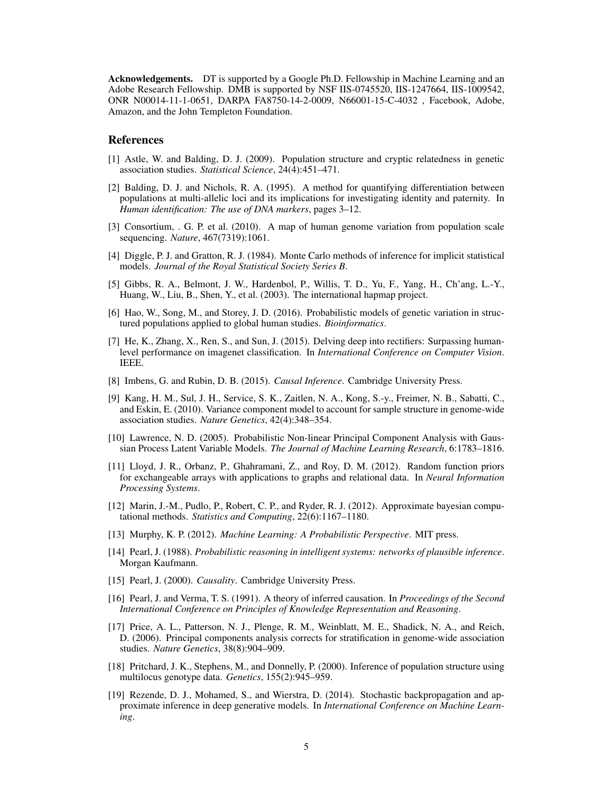Acknowledgements. DT is supported by a Google Ph.D. Fellowship in Machine Learning and an Adobe Research Fellowship. DMB is supported by NSF IIS-0745520, IIS-1247664, IIS-1009542, ONR N00014-11-1-0651, DARPA FA8750-14-2-0009, N66001-15-C-4032 , Facebook, Adobe, Amazon, and the John Templeton Foundation.

#### References

- <span id="page-4-9"></span>[1] Astle, W. and Balding, D. J. (2009). Population structure and cryptic relatedness in genetic association studies. *Statistical Science*, 24(4):451–471.
- <span id="page-4-14"></span>[2] Balding, D. J. and Nichols, R. A. (1995). A method for quantifying differentiation between populations at multi-allelic loci and its implications for investigating identity and paternity. In *Human identification: The use of DNA markers*, pages 3–12.
- <span id="page-4-16"></span>[3] Consortium, . G. P. et al. (2010). A map of human genome variation from population scale sequencing. *Nature*, 467(7319):1061.
- <span id="page-4-7"></span>[4] Diggle, P. J. and Gratton, R. J. (1984). Monte Carlo methods of inference for implicit statistical models. *Journal of the Royal Statistical Society Series B*.
- <span id="page-4-15"></span>[5] Gibbs, R. A., Belmont, J. W., Hardenbol, P., Willis, T. D., Yu, F., Yang, H., Ch'ang, L.-Y., Huang, W., Liu, B., Shen, Y., et al. (2003). The international hapmap project.
- <span id="page-4-13"></span>[6] Hao, W., Song, M., and Storey, J. D. (2016). Probabilistic models of genetic variation in structured populations applied to global human studies. *Bioinformatics*.
- <span id="page-4-18"></span>[7] He, K., Zhang, X., Ren, S., and Sun, J. (2015). Delving deep into rectifiers: Surpassing humanlevel performance on imagenet classification. In *International Conference on Computer Vision*. IEEE.
- <span id="page-4-4"></span>[8] Imbens, G. and Rubin, D. B. (2015). *Causal Inference*. Cambridge University Press.
- <span id="page-4-6"></span>[9] Kang, H. M., Sul, J. H., Service, S. K., Zaitlen, N. A., Kong, S.-y., Freimer, N. B., Sabatti, C., and Eskin, E. (2010). Variance component model to account for sample structure in genome-wide association studies. *Nature Genetics*, 42(4):348–354.
- <span id="page-4-10"></span>[10] Lawrence, N. D. (2005). Probabilistic Non-linear Principal Component Analysis with Gaussian Process Latent Variable Models. *The Journal of Machine Learning Research*, 6:1783–1816.
- <span id="page-4-11"></span>[11] Lloyd, J. R., Orbanz, P., Ghahramani, Z., and Roy, D. M. (2012). Random function priors for exchangeable arrays with applications to graphs and relational data. In *Neural Information Processing Systems*.
- <span id="page-4-12"></span>[12] Marin, J.-M., Pudlo, P., Robert, C. P., and Ryder, R. J. (2012). Approximate bayesian computational methods. *Statistics and Computing*, 22(6):1167–1180.
- <span id="page-4-1"></span>[13] Murphy, K. P. (2012). *Machine Learning: A Probabilistic Perspective*. MIT press.
- <span id="page-4-0"></span>[14] Pearl, J. (1988). *Probabilistic reasoning in intelligent systems: networks of plausible inference*. Morgan Kaufmann.
- <span id="page-4-3"></span>[15] Pearl, J. (2000). *Causality*. Cambridge University Press.
- <span id="page-4-8"></span>[16] Pearl, J. and Verma, T. S. (1991). A theory of inferred causation. In *Proceedings of the Second International Conference on Principles of Knowledge Representation and Reasoning*.
- <span id="page-4-5"></span>[17] Price, A. L., Patterson, N. J., Plenge, R. M., Weinblatt, M. E., Shadick, N. A., and Reich, D. (2006). Principal components analysis corrects for stratification in genome-wide association studies. *Nature Genetics*, 38(8):904–909.
- <span id="page-4-17"></span>[18] Pritchard, J. K., Stephens, M., and Donnelly, P. (2000). Inference of population structure using multilocus genotype data. *Genetics*, 155(2):945–959.
- <span id="page-4-2"></span>[19] Rezende, D. J., Mohamed, S., and Wierstra, D. (2014). Stochastic backpropagation and approximate inference in deep generative models. In *International Conference on Machine Learning*.